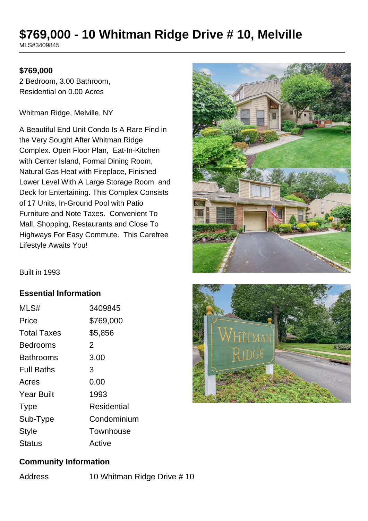# **\$769,000 - 10 Whitman Ridge Drive # 10, Melville**

MLS#3409845

#### **\$769,000**

2 Bedroom, 3.00 Bathroom, Residential on 0.00 Acres

Whitman Ridge, Melville, NY

A Beautiful End Unit Condo Is A Rare Find in the Very Sought After Whitman Ridge Complex. Open Floor Plan, Eat-In-Kitchen with Center Island, Formal Dining Room, Natural Gas Heat with Fireplace, Finished Lower Level With A Large Storage Room and Deck for Entertaining. This Complex Consists of 17 Units, In-Ground Pool with Patio Furniture and Note Taxes. Convenient To Mall, Shopping, Restaurants and Close To Highways For Easy Commute. This Carefree Lifestyle Awaits You!



Built in 1993

#### **Essential Information**

| MLS#               | 3409845     |
|--------------------|-------------|
| Price              | \$769,000   |
| <b>Total Taxes</b> | \$5,856     |
| Bedrooms           | 2           |
| <b>Bathrooms</b>   | 3.00        |
| <b>Full Baths</b>  | 3           |
| Acres              | 0.00        |
| <b>Year Built</b>  | 1993        |
| <b>Type</b>        | Residential |
| Sub-Type           | Condominium |
| Style              | Townhouse   |
| Status             | Active      |



#### **Community Information**

Address 10 Whitman Ridge Drive # 10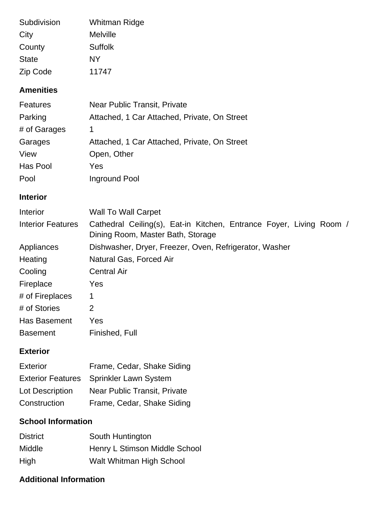| Subdivision  | Whitman Ridge  |
|--------------|----------------|
| City         | Melville       |
| County       | <b>Suffolk</b> |
| <b>State</b> | NΥ             |
| Zip Code     | 11747          |

#### **Amenities**

| <b>Features</b> | <b>Near Public Transit, Private</b>          |
|-----------------|----------------------------------------------|
| Parking         | Attached, 1 Car Attached, Private, On Street |
| # of Garages    |                                              |
| Garages         | Attached, 1 Car Attached, Private, On Street |
| View            | Open, Other                                  |
| Has Pool        | Yes                                          |
| Pool            | Inground Pool                                |

## **Interior**

| <b>Interior</b>          | <b>Wall To Wall Carpet</b>                                                                               |
|--------------------------|----------------------------------------------------------------------------------------------------------|
| <b>Interior Features</b> | Cathedral Ceiling(s), Eat-in Kitchen, Entrance Foyer, Living Room /<br>Dining Room, Master Bath, Storage |
| Appliances               | Dishwasher, Dryer, Freezer, Oven, Refrigerator, Washer                                                   |
| Heating                  | Natural Gas, Forced Air                                                                                  |
| Cooling                  | <b>Central Air</b>                                                                                       |
| Fireplace                | Yes                                                                                                      |
| # of Fireplaces          | 1                                                                                                        |
| # of Stories             | 2                                                                                                        |
| Has Basement             | Yes                                                                                                      |
| <b>Basement</b>          | Finished, Full                                                                                           |

### **Exterior**

| <b>Exterior</b>        | Frame, Cedar, Shake Siding              |
|------------------------|-----------------------------------------|
|                        | Exterior Features Sprinkler Lawn System |
| <b>Lot Description</b> | Near Public Transit, Private            |
| Construction           | Frame, Cedar, Shake Siding              |

# **School Information**

| <b>District</b> | South Huntington              |
|-----------------|-------------------------------|
| <b>Middle</b>   | Henry L Stimson Middle School |
| High            | Walt Whitman High School      |

## **Additional Information**